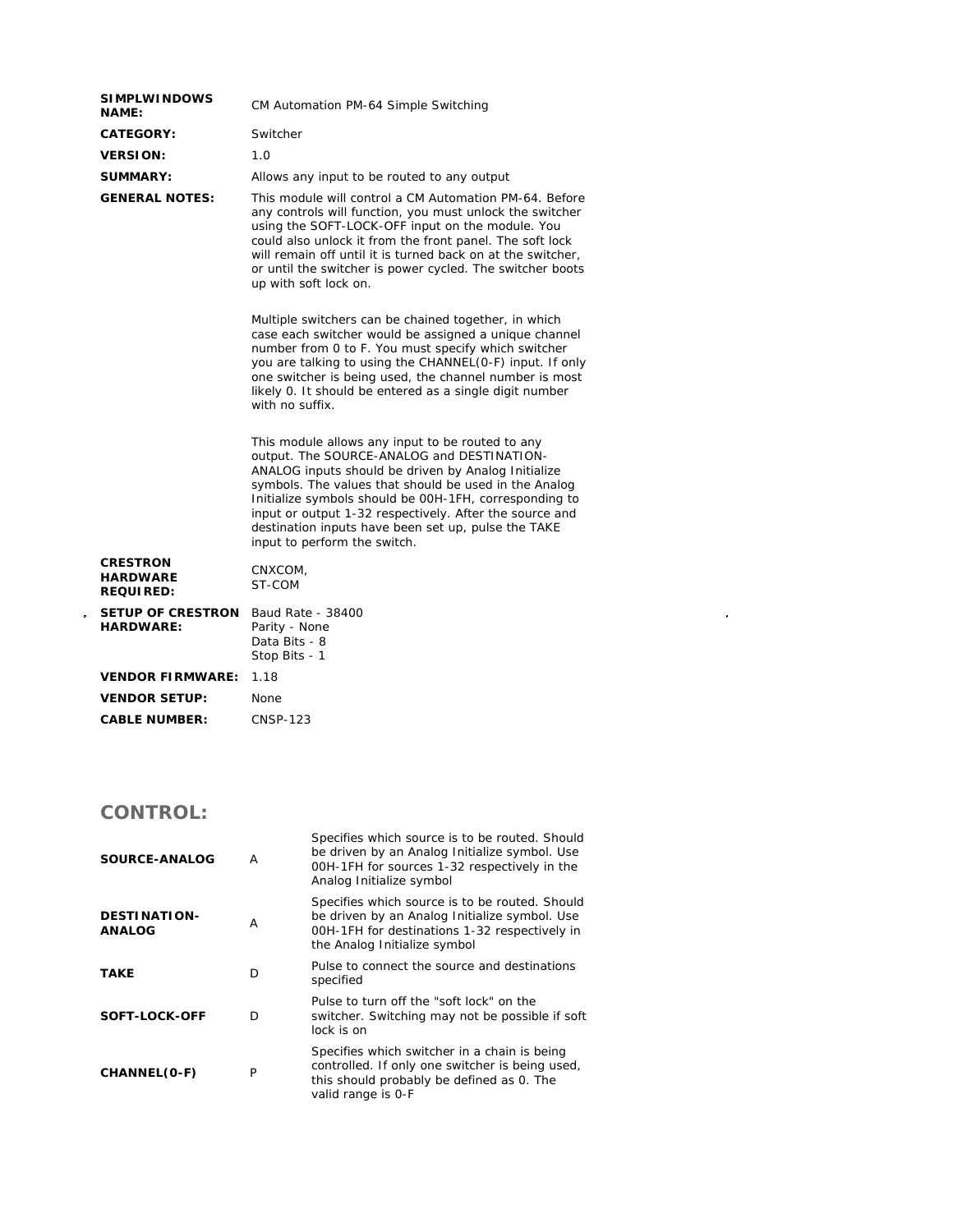| <b>SIMPLWINDOWS</b><br><b>NAME:</b>                    | CM Automation PM-64 Simple Switching                                                                                                                                                                                                                                                                                                                                                                                       |  |  |
|--------------------------------------------------------|----------------------------------------------------------------------------------------------------------------------------------------------------------------------------------------------------------------------------------------------------------------------------------------------------------------------------------------------------------------------------------------------------------------------------|--|--|
| <b>CATEGORY:</b>                                       | Switcher                                                                                                                                                                                                                                                                                                                                                                                                                   |  |  |
| <b>VERSION:</b>                                        | 1.0                                                                                                                                                                                                                                                                                                                                                                                                                        |  |  |
| <b>SUMMARY:</b>                                        | Allows any input to be routed to any output                                                                                                                                                                                                                                                                                                                                                                                |  |  |
| <b>GENERAL NOTES:</b>                                  | This module will control a CM Automation PM-64. Before<br>any controls will function, you must unlock the switcher<br>using the SOFT-LOCK-OFF input on the module. You<br>could also unlock it from the front panel. The soft lock<br>will remain off until it is turned back on at the switcher,<br>or until the switcher is power cycled. The switcher boots<br>up with soft lock on.                                    |  |  |
|                                                        | Multiple switchers can be chained together, in which<br>case each switcher would be assigned a unique channel<br>number from 0 to F. You must specify which switcher<br>you are talking to using the CHANNEL(0-F) input. If only<br>one switcher is being used, the channel number is most<br>likely 0. It should be entered as a single digit number<br>with no suffix.                                                   |  |  |
|                                                        | This module allows any input to be routed to any<br>output. The SOURCE-ANALOG and DESTINATION-<br>ANALOG inputs should be driven by Analog Initialize<br>symbols. The values that should be used in the Analog<br>Initialize symbols should be 00H-1FH, corresponding to<br>input or output 1-32 respectively. After the source and<br>destination inputs have been set up, pulse the TAKE<br>input to perform the switch. |  |  |
| <b>CRESTRON</b><br><b>HARDWARE</b><br><b>REQUIRED:</b> | CNXCOM,<br>ST-COM                                                                                                                                                                                                                                                                                                                                                                                                          |  |  |
| <b>SETUP OF CRESTRON</b><br><b>HARDWARE:</b>           | Baud Rate - 38400<br>Parity - None<br>Data Bits - 8<br>Stop Bits - 1                                                                                                                                                                                                                                                                                                                                                       |  |  |
| <b>VENDOR FIRMWARE:</b>                                | 1.18                                                                                                                                                                                                                                                                                                                                                                                                                       |  |  |
| <b>VENDOR SETUP:</b>                                   | None                                                                                                                                                                                                                                                                                                                                                                                                                       |  |  |
| <b>CABLE NUMBER:</b>                                   | <b>CNSP-123</b>                                                                                                                                                                                                                                                                                                                                                                                                            |  |  |
|                                                        |                                                                                                                                                                                                                                                                                                                                                                                                                            |  |  |

 $\label{eq:2.1} \mathcal{L}(\mathcal{L}^{\text{max}}_{\mathcal{L}}(\mathcal{L}^{\text{max}}_{\mathcal{L}})) \leq \mathcal{L}(\mathcal{L}^{\text{max}}_{\mathcal{L}}(\mathcal{L}^{\text{max}}_{\mathcal{L}}))$ 

## **CONTROL:**

 $\frac{1}{2}$ 

| SOURCE-ANALOG                        | Α | Specifies which source is to be routed. Should<br>be driven by an Analog Initialize symbol. Use<br>00H-1FH for sources 1-32 respectively in the<br>Analog Initialize symbol      |
|--------------------------------------|---|----------------------------------------------------------------------------------------------------------------------------------------------------------------------------------|
| <b>DESTINATION-</b><br><b>ANALOG</b> | A | Specifies which source is to be routed. Should<br>be driven by an Analog Initialize symbol. Use<br>00H-1FH for destinations 1-32 respectively in<br>the Analog Initialize symbol |
| <b>TAKE</b>                          | D | Pulse to connect the source and destinations<br>specified                                                                                                                        |
| SOFT-LOCK-OFF                        | D | Pulse to turn off the "soft lock" on the<br>switcher. Switching may not be possible if soft<br>lock is on                                                                        |
| CHANNEL(O-F)                         | P | Specifies which switcher in a chain is being<br>controlled. If only one switcher is being used,<br>this should probably be defined as 0. The<br>valid range is 0-F               |